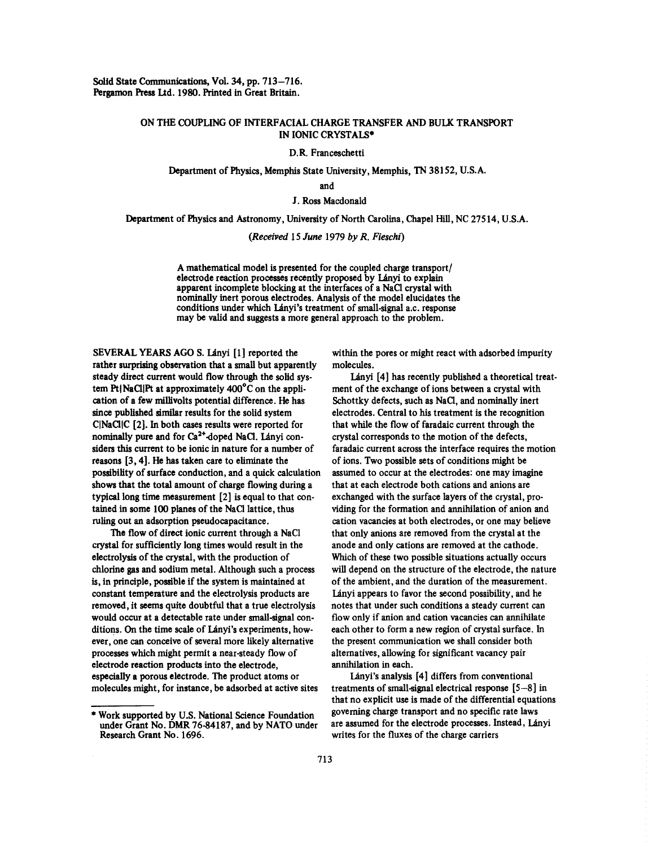## ONTHE COUPLING OF INTERFACIAL CHARGE TRANSFER AND BULK TRANSPORT IN IONIC CRYSTALS\*

D.R. Franceschetti

Department of Physics, Memphis State University, Memphis, TN 38152, U.S.A.

and

J. Ross Macdonald

Department of Physics and Astronomy, University of North Carolina, Chapel Hill, NC 27514, U.S.A.

*(Received* 15 *June* 1979 *byR. Fieschf)*

A mathematical model is presented for the coupled charge transport/ electrode reaction processes recently proposed by Lányi to explain apparent incomplete blocking at the interfaces of a NaC1 crystal with nominally inert porous electrodes. Analysis of the model elucidates the conditions under which Lányi's treatment of small-signal a.c. response may be valid and suggests a more general approach to the problem.

SEVERAL YEARS AGO S. Lányi [1] reported the within the pores or might react with adsorbed impurity rather surprising observation that a small but apparently molecules. steady direct current would flow through the solid sys- Lányi [4] has recently published a theoretical treattern Pt(NaC1IPt at approximately 400°Con the appli- ment of the exchange of ions between <sup>a</sup> crystal with cation of a few millivolts potential difference. He has Schottky defects, such as NaCl, and nominally inert since published similar results for the solid system electrodes. Central to his treatment is the recognition C|NaCl|C [2]. In both cases results were reported for that while the flow of faradaic current through the nominally pure and for Ca<sup>2+</sup>-doped NaCl. Lanyi con- crystal corresponds to the motion of the defects, siders this current to be ionic in nature for a number of faradaic current across the interface requires the motion reasons [3, 4]. He has taken care to eliminate the of ions. Two possible sets of conditions might be possibility of surface conduction, and a quick calculation assumed to occur at the electrodes: one may imagine shows that the total amount of charge flowing during a that at each electrode both cations and anions are shows that the total amount of charge howing during a<br>typical long time measurement [2] is equal to that con- exchanged with the surface layers of the crystal, protypical long time measurement [2] is equal to that con-<br>tained in some 100 planes of the NaCl lattice, thus viding for the formation and annihilation of anion and tained in some 100 planes of the NaCl lattice, thus viding for the formation and annihilation of anion and ruling out an adsorption pseudocapacitance.<br>cation vacancies at both electrodes, or one may believe

crystal for sufficiently long times would result in the anode and only cations are removed at the cathode. electrolysis of the crystal, with the production of Which of these two possible situations actually occurs chlorine gas and sodium metal. Although such a process will depend on the structure of the electrode, the nature is, in principle, possible if the system is maintained at of the ambient, and the duration of the measurement. constant temperature and the electrolysis products are Lanyi appears to favor the second possibility, and he removed, it seems quite doubtful that a true electrolysis notes that under such conditions asteady current can would occur at a detectable rate under small-signal con-<br>flow only if anion and cation vacancies can annihilate ditions. On the time scale of Lányi's experiments, how- each other to form a new region of crystal surface. In ever, one can conceive of several more likely alternative the present communication we shall consider both processes which might permit a near-steady flow of alternatives, allowing for significant vacancy pair processes which highle permit a hear-steady how of antenatives, anowing espectrode reaction products into the electrode.<br>considers a porous electrode. The product atoms or Lányi is analysis [4] differs from conventional especially a porous electrode. The product atoms or **Lanyi's analysis** [4] differs from conventional molecules might, for instance, be adsorbed at active sites treatments of small-signal electrical response [5–8] in

The flow of direct ionic current through a NaCl that only anions are removed from the crystal at the

that no explicit use is made of the differential equations \* Work supported by U.S. National Science Foundation governing charge transport and no specific rate laws under Grant No. **DMR** 76-84187, and by NATO under are assumed for the electrode processes. Instead, Lányi

Research Grant No. 1696. writes for the fluxes of the charge carriers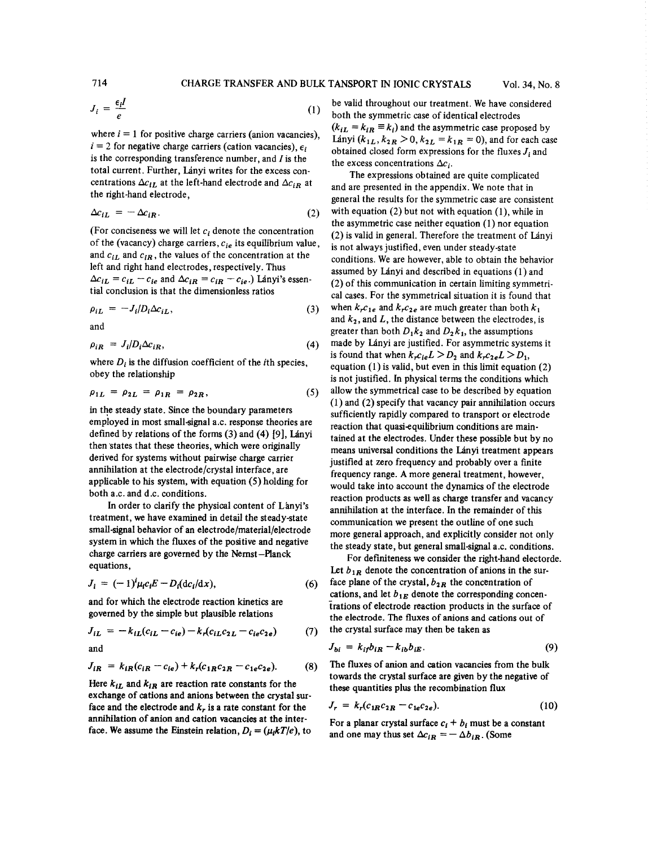714 CHARGE TRANSFER AND BULK TANSPORT IN IONIC CRYSTALS Vol. 34, No.8

$$
J_i = \frac{\epsilon_i I}{e} \tag{1}
$$

is the corresponding transference number, and  $I$  is the the excess concentrations  $\Delta c_i$ .<br>
total current. Further, Lányi writes for the excess con-<br>
The expressions obtained. total current. Further, Lanyi writes for the excess con-<br>centrations  $\Delta c_{iL}$  at the left-hand electrode and  $\Delta c_{iR}$  at and are presented in the appendix. We note that in centrations  $\Delta c_{iL}$  at the left-hand electrode and  $\Delta c_{iR}$  at and are presented in the appendix. We note that in the right-hand electrode,

$$
\Delta c_{iL} = -\Delta c_{iR}.\tag{2}
$$

of the (vacancy) charge carriers,  $c_{ie}$  its equilibrium value, is not always justified, even under steady-state and  $c_{iL}$  and  $c_{iR}$ , the values of the concentration at the conditions. We are however, able to obtain t and  $c_{iL}$  and  $c_{iR}$ , the values of the concentration at the conditions. We are however, able to obtain the behavior left and right hand electrodes, respectively. Thus left and right hand electrodes, respectively. Thus assumed by Lányi and described in equations (1) and  $\Delta c_{iL} = c_{iL} - c_{ie}$  and  $\Delta c_{iR} = c_{iR} - c_{ie}$ .) Lányi's essen (2) of this communication in certain limiting symmet  $\Delta c_{iL} = c_{iL} - c_{ie}$  and  $\Delta c_{iR} = c_{iR} - c_{ie}$ . Lanyi's essen-<br>tial conclusion is that the dimensionless ratios and sense For the symmetrical divertion it is found that

$$
\rho_{iL} = -J_i/D_i \Delta c_{iL}, \qquad (3)
$$

$$
\rho_{iR} = J_i/D_i \Delta c_{iR},\tag{4}
$$

$$
\rho_{1L} = \rho_{2L} = \rho_{1R} = \rho_{2R}, \qquad (5)
$$

employed in most small-signal a.c. response theories are reaction that quasi-equilibrium conditions are main-<br>defined by relations of the forms (3) and (4) [9], Lányi<br>tained at the electrodes. Under these possible but by defined by relations of the forms (3) and (4) [9], Lanyi tained at the electrodes. Under these possible but by no<br>then states that these theories, which were originally means universal conditions the Lényi treatment annou then states that these theories, which were originally means universal conditions the Lányi treatment appears<br>derived for systems without pairwise charge carrier<br>instituted at zero frequency and probably over a finite derived for systems without pairwise charge carrier justified at zero frequency and probably over a finite<br>annihilation at the electrode/crystal interface, are<br> $\frac{1}{2}$  frequency range. A more general treatment, however annihilation at the electrode/crystal interface, are frequency range. A more general treatment, however, applicable to his system, with equation (5) holding for  $\frac{1}{2}$  more general treatment of the electrode system, wit applicable to his system, with equation (5) holding for would take into account the dynamics of the electrode both a.c. and d.c. conditions.

In order to clarify the physical content of Lanyi's annihilation at the interface. In the remainder of this treatment, we have examined in detail the steady-state treatment, we have examined in detail the steady-state<br>small-signal behavior of an electrode/material/electrode<br>more general annuasch and explicitly consider not system in which the fluxes of the positive and negative the steady state, but general small-signal a.c. conditions.<br>Cor definitions we consider the sight hand elected charge carriers are governed by the Nernst—Planck For definiteness we consider the right-hand electorde.<br>For definiteness we consider the right-hand electorde.

$$
J_i = (-1)^i \mu_i c_i E - D_i(\mathrm{d}c_i/\mathrm{d}x), \qquad (6)
$$

$$
J_{iL} = -k_{iL}(c_{iL} - c_{ie}) - k_r(c_{iL}c_{2L} - c_{ie}c_{2e})
$$
 (7) the crystal surface may then be taken as  
and  

$$
J_{1i} = k_{i\text{obs}} - k_{i\text{th}}b_{iR}
$$

$$
J_{iR} = k_{iR}(c_{iR} - c_{ie}) + k_r(c_{1R}c_{2R} - c_{1e}c_{2e}).
$$
 (8)

Here  $k_{IL}$  and  $k_{IR}$  are reaction rate constants for the these quantities plus the recombination flux exchange of cations and anions between the crystal surface and the electrode and  $k_r$  is a rate constant for the annihilation of anion and cation vacancies at the inter-

 $=$   $\frac{\epsilon_i I}{(1)}$  be valid throughout our treatment. We have considered  $(k_{iL} = k_{iR} \equiv k_i)$  and the asymmetric case proposed by where *i* = 1 for positive charge carriers (anion vacancies),  $\frac{V}{L}$  ( $k_1L$ ,  $k_2R$  > 0,  $k_2L = k_1R = 0$ ), and for each case *i* = 2 for negative charge carriers (cation vacancies),  $\epsilon_i$ obtained closed form expressions for the fluxes  $J_i$  and

general the results for the symmetric case are consistent  $\Delta c_{iL} = -\Delta c_{iR}$ . (2) with equation (2) but not with equation (1), while in the asymmetric case neither equation (1) nor equation (For conciseness we will let  $c_i$  denote the concentration (2) is valid in general. Therefore the treatment of Lányi of the (vacancy) charge carriers,  $c_{ie}$  its equilibrium value, is not always justified, even under stea cal cases. For the symmetrical situation it is found that  $\lim_{P \to \infty} \frac{P}{P}$  and  $k_2$ , and *L*, the distance between the electrodes, is and greater than both  $D_1k_2$  and  $D_2k_1$ , the assumptions  $\mu_{IR} = J_l/D_l \Delta t_{IR}$ ,<br>is found that when  $k_r c_{le} L > D_2$  and  $k_r c_{2e} L > D_1$ ,<br>where *D*, is the diffusion coefficient of the *i*th species where  $D_i$  is the diffusion coefficient of the *i*th species, equation (1) is valid, but even in this limit equation (2) obey the relationship  $\frac{1}{2}$  is valid, but even in this limit equation (2) is not justified. In physical terms the conditions which  $P1L = P2L = P1R = P2R$ ,  $P2L = P1R = (3)$  and  $P3$  and  $P4D$  and  $P5D$  and  $P6D$  and  $P5D$  and  $P6D$  and  $P6D$  and  $P6D$  and  $P7D$  and  $P8D$  and  $P8D$  and  $P8D$  and  $P8D$  and  $P9D$  and  $P9D$  and  $P9D$  and  $P9D$  and  $P9D$  and  $P9D$  $(1)$  and  $(2)$  specify that vacancy pair annihilation occurs in the steady state. Since the boundary parameters sufficiently rapidly compared to transport or electrode<br>employed in most small-signal a.c. response theories are<br> $\frac{1}{2}$  reaction that quasi-could brightning conditions  $\frac{b_1}{b_2}$  a.c. and d.c. conditions.<br>In order to clarify the physical content of Lanyi's consibilation at the interface. In the remainder of this small-signal behavior of an electrode/material/electrode more general approach, and explicitly consider not only<br>system in which the fluxes of the positive and negative the eterdy state but canoral small signal a condition

Let  $b_{1R}$  denote the concentration of anions in the sur*n* face plane of the crystal,  $b_{2R}$  the concentration of cations, and let  $b_{1E}$  denote the corresponding concenand for which the electrode reaction kinetics are<br> $\frac{1}{2}$  frations of electrode reaction products in the surface of<br>soverned by the simple but plausible relations<br>the electrode. The fluxes of priors and ortions out of the electrode. The fluxes of anions and cations out of

and 
$$
J_{bi} = k_{if}b_{iR} - k_{ib}b_{iE}.
$$
 (9)

 $V_R = \kappa_R (c_R - c_{\ell}) + \kappa_r (c_R - c_{\ell}^2)$ . (8) The fluxes of anion and cation vacancies from the bulk<br>towards the crystal surface are given by the negative of

$$
J_r = k_r (c_{1R} c_{2R} - c_{1e} c_{2e}). \tag{10}
$$

annihilation of anion and cation vacancies at the inter-<br>face. We assume the Einstein relation,  $D_i = (\mu_i kT/e)$ , to and one may thus set  $\Delta c_{i\alpha} = -\Delta b_{i\alpha}$ . (Some and one may thus set  $\Delta c_{iR} = - \Delta b_{iR}$ . (Some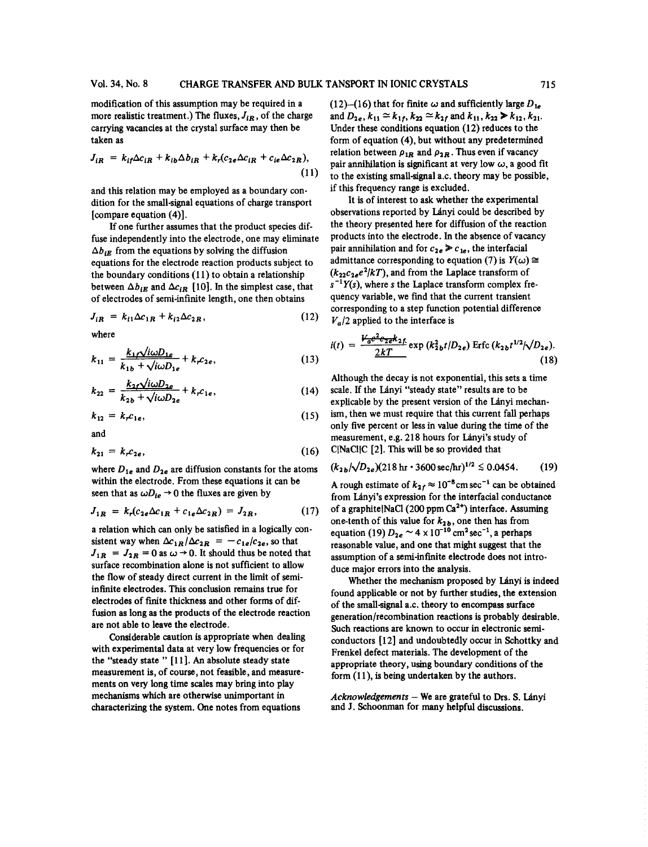more realistic treatment.) The fluxes,  $J_{iR}$ , of the charge carrying vacancies at the crystal surface may then be taken as

$$
J_{iR} = k_{if}\Delta c_{iR} + k_{ib}\Delta b_{iR} + k_r(c_{2e}\Delta c_{iR} + c_{ie}\Delta c_{2R}),
$$
\n(11)

and this relation may be employed as a boundary con-<br>dition for the small-signal equations of charge transport<br>It is of interest to ask whether the experimental [compare equation  $(4)$ ].

fuse independently into the electrode, one may eliminate products into the electrode. In the absence of vacancy  $\Delta b_{iE}$  from the equations by solving the diffusion pair annihilation and for  $c_{2e} \ge c_{1e}$ , the interfacial equations for the electrode reaction products subject to the boundary conditions (11) to obtain a relationship between  $\Delta b_{iE}$  and  $\Delta c_{iR}$  [10]. In the simplest case, that of electrodes of semi-infinite length, one then obtains quency variable, we find that the current transient

$$
J_{iR} = k_{l1} \Delta c_{1R} + k_{i2} \Delta c_{2R}, \qquad (12)
$$

$$
k_{11} = \frac{k_{1f}\sqrt{i\omega D_{1e}}}{k_{1b} + \sqrt{i\omega D_{1e}}} + k_{r}c_{2e},
$$
\n(13) 
$$
\frac{2kT}{k_{1b} + \sqrt{i\omega D_{1e}}} + k_{1c}c_{2e},
$$
\n(14)

$$
k_{22} = \frac{k_{2f}\sqrt{i\omega D_{2e}}}{k_{2b} + \sqrt{i\omega D_{2e}}} + k_{r}c_{1e},\tag{14}
$$

$$
k_{12} = k_r c_{1e}, \qquad (15)
$$

$$
k_{21} = k_r c_{2e}, \t\t(16)
$$

where  $D_{1e}$  and  $D_{2e}$  are diffusion constants for the atoms  $P_{2e}/P_{2e}/P_{2e}/P_{1e}$  in 3600 sec/hr) within the electrode. From these equations it can be seen that as  $\langle N \rangle \to 0$  the fluxes are given by from Lagrange and Lagrange estimate of  $k_{2f} \approx 10^{-6}$  cm sec<sup>-1</sup> can be obtained

$$
J_{1R} = k_r (c_{2e} \Delta c_{1R} + c_{1e} \Delta c_{2R}) = J_{2R}, \qquad (17)
$$

a relation which can only be satisfied in a logically con-<br>sistent way when  $\Delta c_{1R}/\Delta c_{2R} = -c_{1e}/c_{2e}$ , so that reasonable value, and one that might suggest that the  $J_{1R} = J_{2R} = 0$  as  $\omega \rightarrow 0$ . It should thus be noted that assumption of a semi-infinite electrode does not introsurface recombination alone is not sufficient to allow surface recombination alone is not surficient to allow duce major errors into the analysis.<br>the flow of steady direct current in the limit of semi-<br>Whether the mechanism proposed by Languard by Languard by Languard by Lang electrodes of function as long as the products of the electrode reaction of the small-signal a.c. theory to encompass surface fusion as long as the products of the electrode reaction

with experimental data at very low frequencies of for<br>the "steady state" [11]. An absolute steady state appropriate theory, using boundary conditions of the "steady state" [11]. An absolute steady state appropriate theory, using boundary conditions of the measurement is, of course, not feasible, and measure-<br>form (11), is being undertaken by the authors. ments on very long time scales may bring into play mechanisms which are otherwise unimportant in mechanisms which are otherwise unimportant in *Acknowledgements* – We are grateful to Drs. S. Lányi characterizing the system. One notes from equations and J. Schoonman for many helpful discussions.

modification of this assumption may be required in a (12)-(16) that for finite  $\omega$  and sufficiently large  $D_{1e}$ and  $D_{2e}$ ,  $k_{11} \approx k_{1f}$ ,  $k_{22} \approx k_{2f}$  and  $k_{11}$ ,  $k_{22} \gg k_{12}$ ,  $k_{21}$ .<br>Under these conditions equation (12) reduces to the form of equation (4), but without any predetermined relation between  $\rho_{1R}$  and  $\rho_{2R}$ . Thus even if vacancy pair annihilation is significant at very low  $\omega$ , a good fit to the existing small-signal a.c. theory may be possible, if this frequency range is excluded.

If one further assumes that the product species dif-<br>the theory presented here for diffusion of the reaction admittance corresponding to equation (7) is  $Y(\omega) \cong$  $(k_{22}c_{2e}e^{2}/kT)$ , and from the Laplace transform of  $s^{-1}Y(s)$ , where *s* the Laplace transform complex frecorresponding to a step function potential difference  $V_a/2$  applied to the interface is

where  
\n
$$
i(t) = \frac{V_{a}e^{2}e_{2}e^{2}k_{2}f}{2kT} \exp(k_{2b}^{2}t/D_{2e}) \text{ Erfc}(k_{2b}t^{1/2}/\sqrt{D_{2e}}).
$$
\n(13)

Although the decay is not exponential, this sets a time scale. If the Lányi "steady state" results are to be  $k_{22} = k_{2b} + \sqrt{i\omega D_{2e}} + k_{r}c_{1e}$ , (14) scale. If the Lányi steady state Tesuits are to be explicable by the present version of the Lányi mechan*khairary ism, then we must require that this current fall perhaps* only five percent or less in value during the time of the only live percent or less in value during the time of the<br>measurement, e.g. 218 hours for Lányi's study of *k*<sub>2</sub>). This will be so provided that

$$
(k_{2b}/\sqrt{D_{2e}})(218 \,\text{hr} \cdot 3600 \,\text{sec/hr})^{1/2} \lesssim 0.0454. \tag{19}
$$

 $_{2f}$   $\approx$  10  $J_{1R} = \kappa_r (c_{2e} \Delta c_{1R} + c_{1e} \Delta c_{2R}) = J_{2R}$ , (17) or a graphic patchet (200 ppm car ) interface. Assumed that the set of  $k_{2b}$ , one then has from of a graphite  $\text{NaCl} (200 \text{ ppm Ca}^{2+})$  interface. Assuming

Infinite electrodes. This conclusion remains true for the mechanism proposed by Lanyi is indeed<br>infinite electrodes. This conclusion remains true for found applicable or not by further studies, the extension in timulate electrodes. This conclusion remains true for  $\frac{1}{2}$  found applicable or not by further studies, the extension electrodes of finite thickness and other forms of dif-<br>of the small-signal a.c. theory to encomp rusion as long as the products of the electrode reaction<br>are not able to leave the electrode.<br>Such reactions are known to occur in electronic seminot able to leave the electrode.<br>Considerable caution is appropriate when dealing conductors [12] and undoubtedly occur in Schottky Considerable caution is appropriate when dealing conductors  $[12]$  and undoubtedly occur in Schottky and with experimental data at very low frequencies or for Frenkel defect materials. The development of the